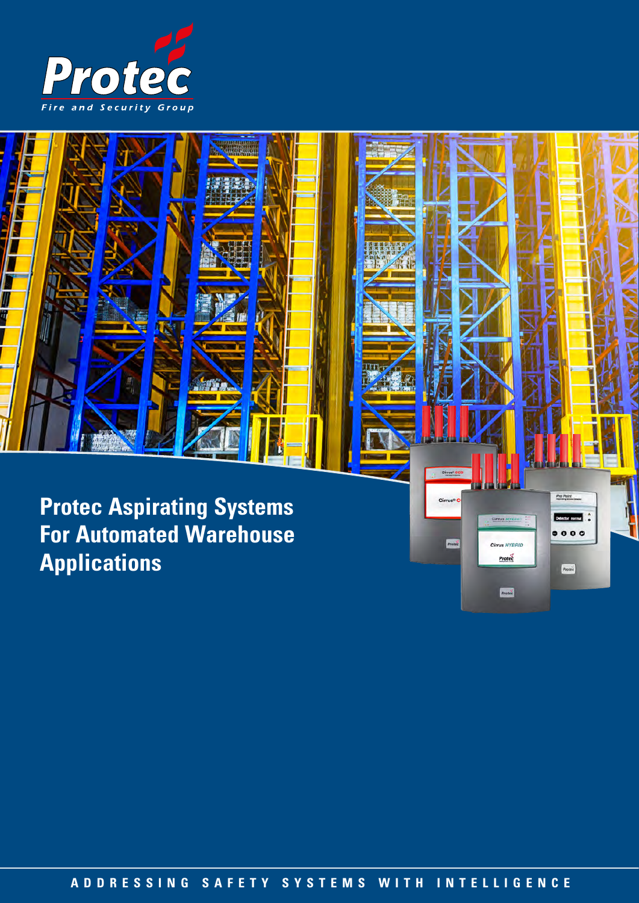

Ш Ĥ

> **Protec Aspirating Systems For Automated Warehouse Applications**

> > **ADDRESSING SAFETY SYSTEMS WITH INTELLIGENCE ADDRESSING SAFETY SYSTEMS WITH INTELLIGENCE**

Pro Point

Detector normal  $\bullet\bullet\bullet\bullet$ 

Protec

Cirrus

Pro

**Cirrus HYBRID** 

 $Prote<sub>c</sub>$ 

Protec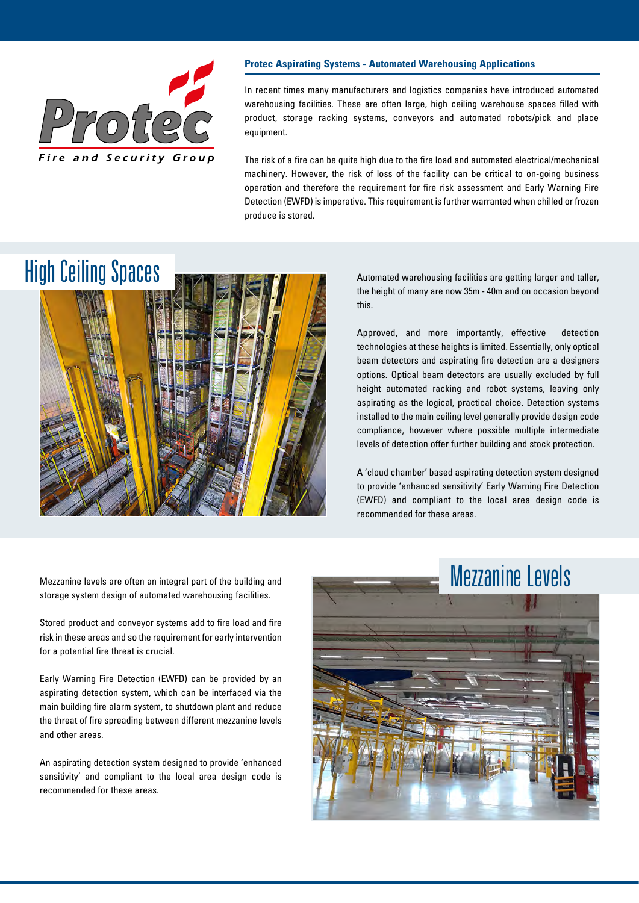

#### **Protec Aspirating Systems - Automated Warehousing Applications**

In recent times many manufacturers and logistics companies have introduced automated warehousing facilities. These are often large, high ceiling warehouse spaces filled with product, storage racking systems, conveyors and automated robots/pick and place equipment.

The risk of a fire can be quite high due to the fire load and automated electrical/mechanical machinery. However, the risk of loss of the facility can be critical to on-going business operation and therefore the requirement for fire risk assessment and Early Warning Fire Detection (EWFD) is imperative. This requirement is further warranted when chilled or frozen produce is stored.

### High Ceiling Spaces



Automated warehousing facilities are getting larger and taller, the height of many are now 35m - 40m and on occasion beyond this.

Approved, and more importantly, effective detection technologies at these heights is limited. Essentially, only optical beam detectors and aspirating fire detection are a designers options. Optical beam detectors are usually excluded by full height automated racking and robot systems, leaving only aspirating as the logical, practical choice. Detection systems installed to the main ceiling level generally provide design code compliance, however where possible multiple intermediate levels of detection offer further building and stock protection.

A 'cloud chamber' based aspirating detection system designed to provide 'enhanced sensitivity' Early Warning Fire Detection (EWFD) and compliant to the local area design code is recommended for these areas.

Mezzanine levels are often an integral part of the building and storage system design of automated warehousing facilities.

Stored product and conveyor systems add to fire load and fire risk in these areas and so the requirement for early intervention for a potential fire threat is crucial.

Early Warning Fire Detection (EWFD) can be provided by an aspirating detection system, which can be interfaced via the main building fire alarm system, to shutdown plant and reduce the threat of fire spreading between different mezzanine levels and other areas.

An aspirating detection system designed to provide 'enhanced sensitivity' and compliant to the local area design code is recommended for these areas.

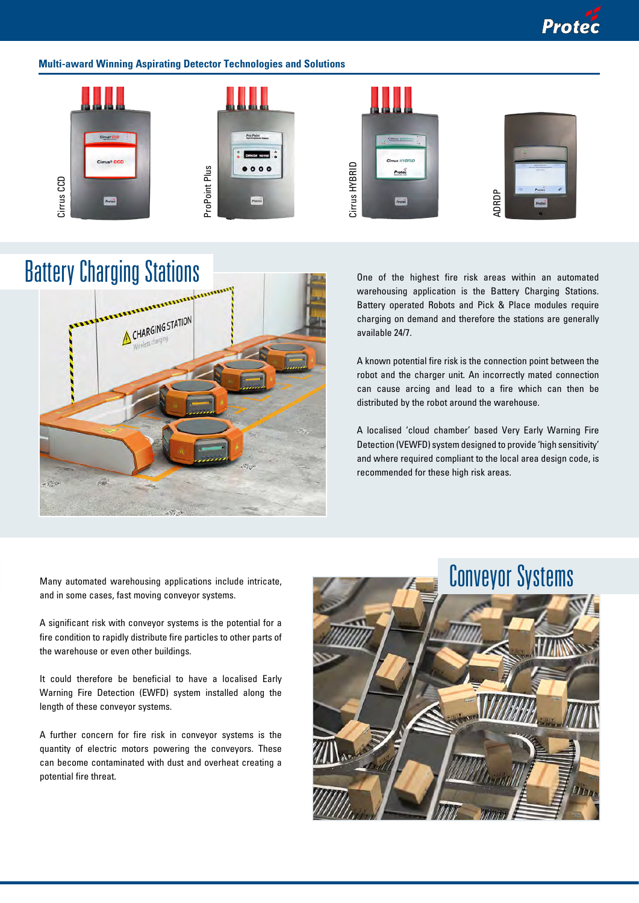### **Multi-award Winning Aspirating Detector Technologies and Solutions**



# Battery Charging Stations



One of the highest fire risk areas within an automated warehousing application is the Battery Charging Stations. Battery operated Robots and Pick & Place modules require charging on demand and therefore the stations are generally available 24/7.

A known potential fire risk is the connection point between the robot and the charger unit. An incorrectly mated connection can cause arcing and lead to a fire which can then be distributed by the robot around the warehouse.

A localised 'cloud chamber' based Very Early Warning Fire Detection (VEWFD) system designed to provide 'high sensitivity' and where required compliant to the local area design code, is recommended for these high risk areas.

Many automated warehousing applications include intricate, and in some cases, fast moving conveyor systems.

A significant risk with conveyor systems is the potential for a fire condition to rapidly distribute fire particles to other parts of the warehouse or even other buildings.

It could therefore be beneficial to have a localised Early Warning Fire Detection (EWFD) system installed along the length of these conveyor systems.

A further concern for fire risk in conveyor systems is the quantity of electric motors powering the conveyors. These can become contaminated with dust and overheat creating a potential fire threat.